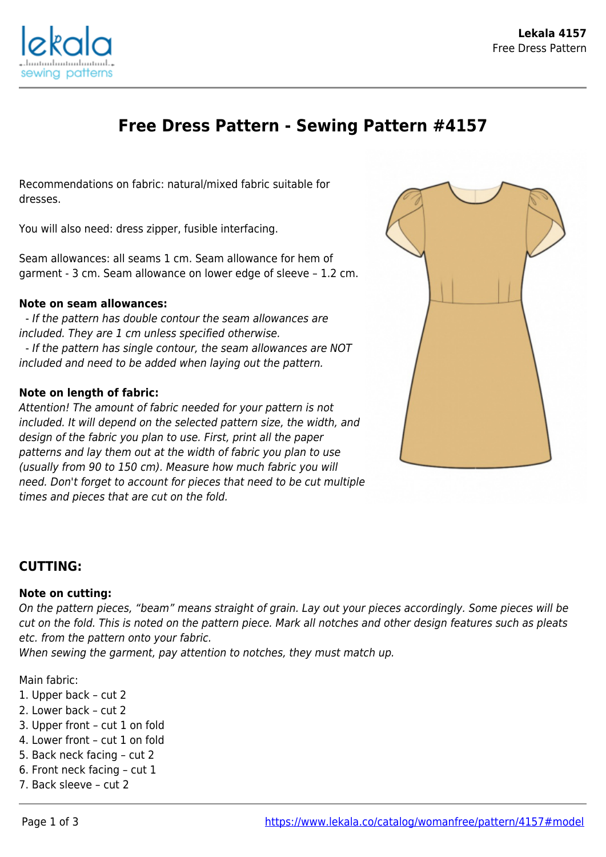

# **Free Dress Pattern - Sewing Pattern #4157**

Recommendations on fabric: natural/mixed fabric suitable for dresses.

You will also need: dress zipper, fusible interfacing.

Seam allowances: all seams 1 cm. Seam allowance for hem of garment - 3 cm. Seam allowance on lower edge of sleeve – 1.2 cm.

### **Note on seam allowances:**

 - If the pattern has double contour the seam allowances are included. They are 1 cm unless specified otherwise. - If the pattern has single contour, the seam allowances are NOT included and need to be added when laying out the pattern.

## **Note on length of fabric:**

Attention! The amount of fabric needed for your pattern is not included. It will depend on the selected pattern size, the width, and design of the fabric you plan to use. First, print all the paper patterns and lay them out at the width of fabric you plan to use (usually from 90 to 150 cm). Measure how much fabric you will need. Don't forget to account for pieces that need to be cut multiple times and pieces that are cut on the fold.



## **CUTTING:**

### **Note on cutting:**

On the pattern pieces, "beam" means straight of grain. Lay out your pieces accordingly. Some pieces will be cut on the fold. This is noted on the pattern piece. Mark all notches and other design features such as pleats etc. from the pattern onto your fabric.

When sewing the garment, pay attention to notches, they must match up.

Main fabric:

- 1. Upper back cut 2
- 2. Lower back cut 2
- 3. Upper front cut 1 on fold
- 4. Lower front cut 1 on fold
- 5. Back neck facing cut 2
- 6. Front neck facing cut 1
- 7. Back sleeve cut 2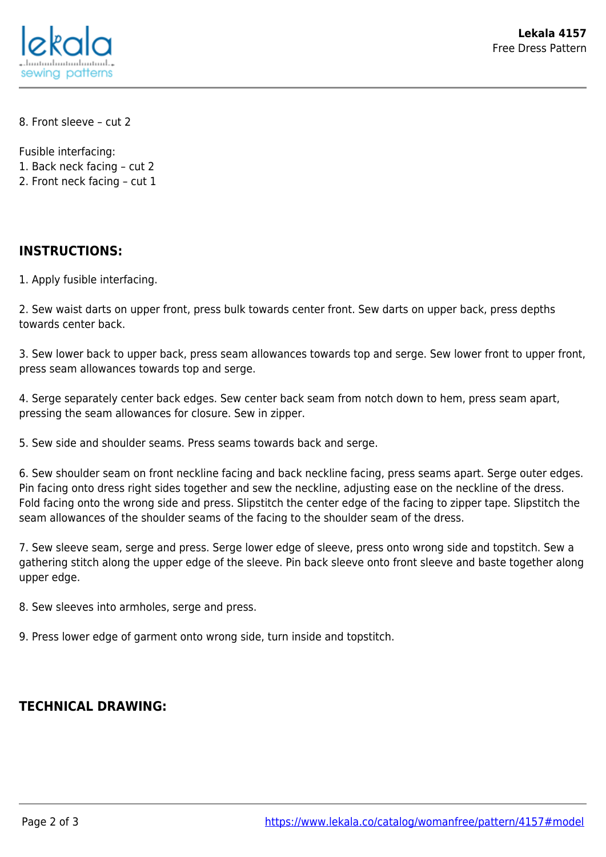

8. Front sleeve – cut 2

Fusible interfacing:

1. Back neck facing – cut 2

2. Front neck facing – cut 1

# **INSTRUCTIONS:**

1. Apply fusible interfacing.

2. Sew waist darts on upper front, press bulk towards center front. Sew darts on upper back, press depths towards center back.

3. Sew lower back to upper back, press seam allowances towards top and serge. Sew lower front to upper front, press seam allowances towards top and serge.

4. Serge separately center back edges. Sew center back seam from notch down to hem, press seam apart, pressing the seam allowances for closure. Sew in zipper.

5. Sew side and shoulder seams. Press seams towards back and serge.

6. Sew shoulder seam on front neckline facing and back neckline facing, press seams apart. Serge outer edges. Pin facing onto dress right sides together and sew the neckline, adjusting ease on the neckline of the dress. Fold facing onto the wrong side and press. Slipstitch the center edge of the facing to zipper tape. Slipstitch the seam allowances of the shoulder seams of the facing to the shoulder seam of the dress.

7. Sew sleeve seam, serge and press. Serge lower edge of sleeve, press onto wrong side and topstitch. Sew a gathering stitch along the upper edge of the sleeve. Pin back sleeve onto front sleeve and baste together along upper edge.

8. Sew sleeves into armholes, serge and press.

9. Press lower edge of garment onto wrong side, turn inside and topstitch.

# **TECHNICAL DRAWING:**